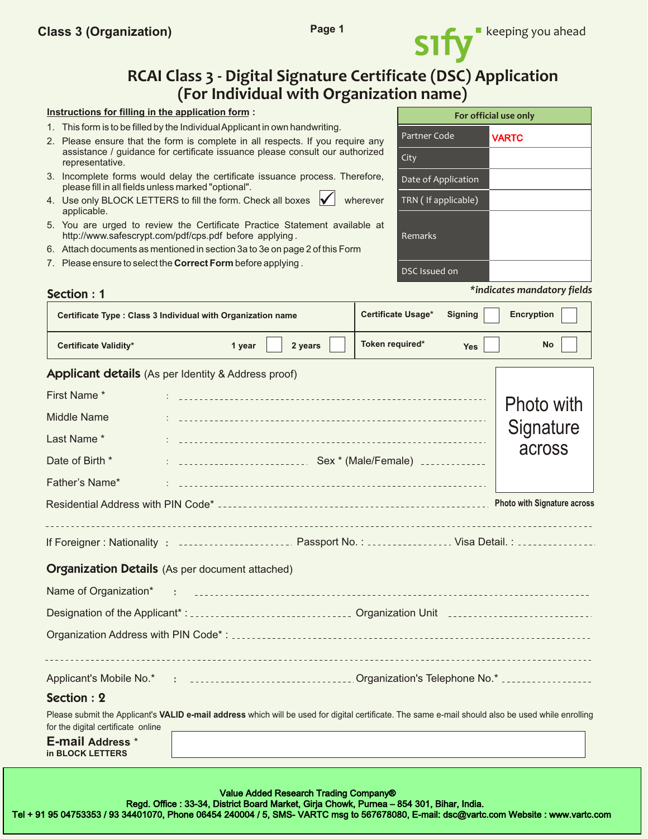

# **RCAI Class 3 - Digital Signature Certificate (DSC) Application (For Individual with Organization name)**

#### **Instructions for filling in the application form :**

- 1. This form is to be filled by the Individual Applicant in own handwriting.
- 2. Please ensure that the form is complete in all respects. If you require any assistance / guidance for certificate issuance please consult our authorized representative.
- 3. Incomplete forms would delay the certificate issuance process. Therefore, please fill in all fields unless marked "optional".
- 4. Use only BLOCK LETTERS to fill the form. Check all boxes  $\mathcal{V}$  wherever applicable.
- 5. You are urged to review the Certificate Practice Statement available at http://www.safescrypt.com/pdf/cps.pdf before applying.
- 6. Attach documents as mentioned in section 3a to 3e on page 2 of this Form
- 7. Please ensure to select the **Correct Form** before applying .

|                      | For official use only |
|----------------------|-----------------------|
| Partner Code         | <b>VARTC</b>          |
| City                 |                       |
| Date of Application  |                       |
| TRN (If applicable)  |                       |
| Remarks              |                       |
| <b>DSC</b> Issued on |                       |

| <b>Section: 1</b> | *indicates mandatory fields |
|-------------------|-----------------------------|
|-------------------|-----------------------------|

|                                             | Certificate Type : Class 3 Individual with Organization name                                                                                                                                                                      | Certificate Usage* | <b>Signing</b> | <b>Encryption</b>                  |
|---------------------------------------------|-----------------------------------------------------------------------------------------------------------------------------------------------------------------------------------------------------------------------------------|--------------------|----------------|------------------------------------|
| <b>Certificate Validity*</b>                | 2 years<br>1 year                                                                                                                                                                                                                 | Token required*    | <b>Yes</b>     | <b>No</b>                          |
|                                             | <b>Applicant details</b> (As per Identity & Address proof)                                                                                                                                                                        |                    |                |                                    |
| First Name*                                 |                                                                                                                                                                                                                                   |                    |                | Photo with                         |
| <b>Middle Name</b>                          |                                                                                                                                                                                                                                   |                    |                |                                    |
| Last Name*                                  |                                                                                                                                                                                                                                   |                    |                | Signature                          |
| Date of Birth *                             |                                                                                                                                                                                                                                   |                    |                | across                             |
| Father's Name*                              |                                                                                                                                                                                                                                   |                    |                |                                    |
|                                             |                                                                                                                                                                                                                                   |                    |                | <b>Photo with Signature across</b> |
|                                             | If Foreigner: Nationality: Concession Construction Cassport No. : Concession Constant Visa Detail. : Concession                                                                                                                   |                    |                |                                    |
|                                             | <b>Organization Details</b> (As per document attached)                                                                                                                                                                            |                    |                |                                    |
| Name of Organization*                       | $\mathbf{r}$ , the continuum continuum continuum continuum continuum continuum continuum continuum continuum continuum continuum continuum continuum continuum continuum continuum continuum continuum continuum continuum contin |                    |                |                                    |
|                                             |                                                                                                                                                                                                                                   |                    |                |                                    |
|                                             |                                                                                                                                                                                                                                   |                    |                |                                    |
|                                             | Applicant's Mobile No.* : ________________________________Organization's Telephone No.* ______________________                                                                                                                    |                    |                |                                    |
| Section: 2                                  |                                                                                                                                                                                                                                   |                    |                |                                    |
| for the digital certificate online          | Please submit the Applicant's VALID e-mail address which will be used for digital certificate. The same e-mail should also be used while enrolling                                                                                |                    |                |                                    |
| <b>E-mail Address *</b><br>in BLOCK LETTERS |                                                                                                                                                                                                                                   |                    |                |                                    |